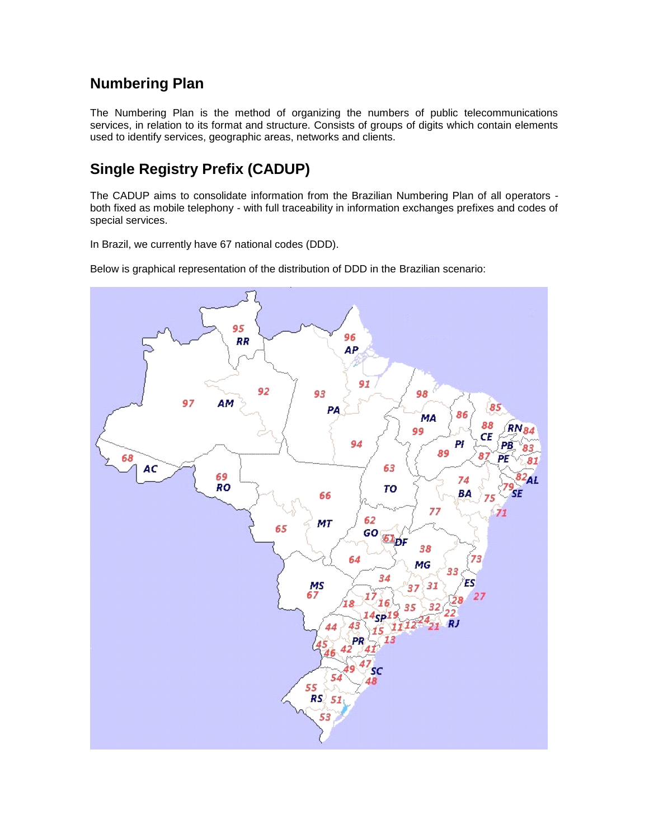## **Numbering Plan**

The Numbering Plan is the method of organizing the numbers of public telecommunications services, in relation to its format and structure. Consists of groups of digits which contain elements used to identify services, geographic areas, networks and clients.

# **Single Registry Prefix (CADUP)**

The CADUP aims to consolidate information from the Brazilian Numbering Plan of all operators both fixed as mobile telephony - with full traceability in information exchanges prefixes and codes of special services.

In Brazil, we currently have 67 national codes (DDD).

Below is graphical representation of the distribution of DDD in the Brazilian scenario:

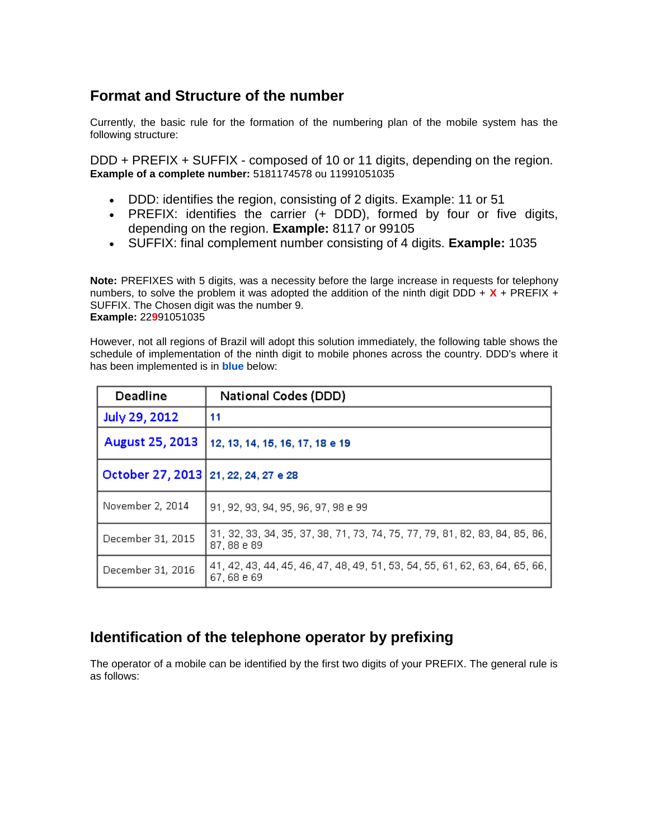## **Format and Structure of the number**

Currently, the basic rule for the formation of the numbering plan of the mobile system has the following structure:

DDD + PREFIX + SUFFIX - composed of 10 or 11 digits, depending on the region. **Example of a complete number:** 5181174578 ou 11991051035

- DDD: identifies the region, consisting of 2 digits. Example: 11 or 51
- PREFIX: identifies the carrier (+ DDD), formed by four or five digits, depending on the region. **Example:** 8117 or 99105
- SUFFIX: final complement number consisting of 4 digits. **Example:** 1035

**Note:** PREFIXES with 5 digits, was a necessity before the large increase in requests for telephony numbers, to solve the problem it was adopted the addition of the ninth digit DDD +  $X$  + PREFIX + SUFFIX. The Chosen digit was the number 9. **Example:** 22**9**91051035

However, not all regions of Brazil will adopt this solution immediately, the following table shows the schedule of implementation of the ninth digit to mobile phones across the country. DDD's where it has been implemented is in **blue** below:

| Deadline                               | <b>National Codes (DDD)</b>                                                                |
|----------------------------------------|--------------------------------------------------------------------------------------------|
| July 29, 2012                          | 11                                                                                         |
| <b>August 25, 2013</b>                 | 12, 13, 14, 15, 16, 17, 18 e 19                                                            |
| October 27, 2013   21, 22, 24, 27 e 28 |                                                                                            |
| November 2, 2014                       | 91, 92, 93, 94, 95, 96, 97, 98 e 99                                                        |
| December 31, 2015                      | 31, 32, 33, 34, 35, 37, 38, 71, 73, 74, 75, 77, 79, 81, 82, 83, 84, 85, 86,<br>87, 88 e 89 |
| December 31, 2016                      | 41, 42, 43, 44, 45, 46, 47, 48, 49, 51, 53, 54, 55, 61, 62, 63, 64, 65, 66,<br>67,68 e 69  |

## **Identification of the telephone operator by prefixing**

The operator of a mobile can be identified by the first two digits of your PREFIX. The general rule is as follows: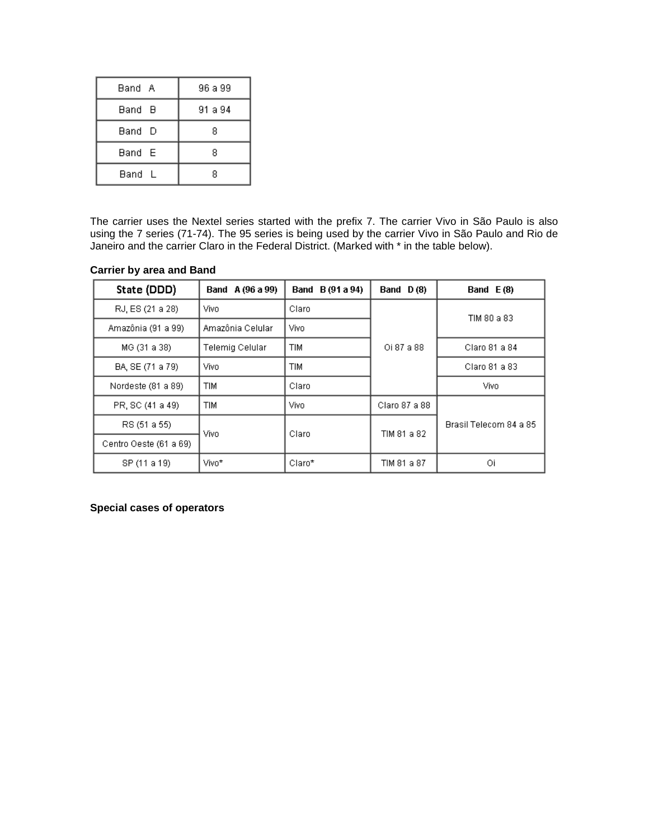| Band A | 96 a 99 |  |
|--------|---------|--|
| Band B | 91 a 94 |  |
| Band D | 8       |  |
| Band E | 8       |  |
| Band L | 8       |  |

The carrier uses the Nextel series started with the prefix 7. The carrier Vivo in São Paulo is also using the 7 series (71-74). The 95 series is being used by the carrier Vivo in São Paulo and Rio de Janeiro and the carrier Claro in the Federal District. (Marked with \* in the table below).

| State (DDD)            | Band A (96 a 99) | Band B (91 a 94) | Band $D(8)$   | Band $E(8)$            |
|------------------------|------------------|------------------|---------------|------------------------|
| RJ, ES (21 a 28)       | Vivo             | Claro            |               | TIM 80 a 83            |
| Amazônia (91 a 99)     | Amazônia Celular | Vivo             |               |                        |
| MG (31 a 38)           | Telemig Celular  | <b>TIM</b>       | Oi 87 a 88    | Claro 81 a 84          |
| BA, SE (71 a 79)       | Vivo             | <b>TIM</b>       |               | Claro 81 a 83          |
| Nordeste (81 a 89)     | <b>TIM</b>       | Claro            |               | Vivo                   |
| PR, SC (41 a 49)       | <b>TIM</b>       | Vivo             | Claro 87 a 88 |                        |
| RS (51 a 55)           | Vivo.            | Claro            | TIM 81 a 82   | Brasil Telecom 84 a 85 |
| Centro Oeste (61 a 69) |                  |                  |               |                        |
| SP (11 a 19)           | Vivo*            | Claro*           | TIM 81 a 87   | Οi                     |

#### **Carrier by area and Band**

#### **Special cases of operators**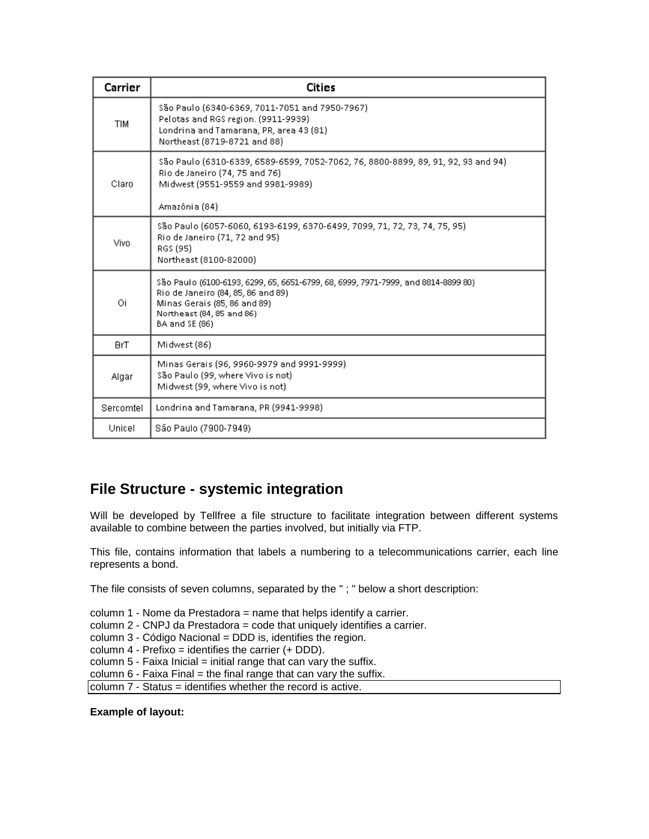| Carrier    | <b>Cities</b>                                                                                                                                                                                           |  |
|------------|---------------------------------------------------------------------------------------------------------------------------------------------------------------------------------------------------------|--|
| <b>TIM</b> | \$ão Paulo (6340-6369, 7011-7051 and 7950-7967)<br>Pelotas and RGS region. (9911-9939)<br>Londrina and Tamarana, PR, area 43 (81)<br>Northeast (8719-8721 and 88)                                       |  |
| Claro      | São Paulo (6310-6339, 6589-6599, 7052-7062, 76, 8800-8899, 89, 91, 92, 93 and 94)<br>Rio de Janeiro (74, 75 and 76)<br>Midwest (9551-9559 and 9981-9989)<br>Amazônia (84)                               |  |
| Vivo       | \$ão Paulo (6057-6060, 6193-6199, 6370-6499, 7099, 71, 72, 73, 74, 75, 95)<br>Rio de Janeiro (71, 72 and 95)<br>RGS (95)<br>Northeast (8100-82000)                                                      |  |
| Οi         | \$ão Paulo (6100-6193, 6299, 65, 6651-6799, 68, 6999, 7971-7999, and 8814-8899 80)<br>Rio de Janeiro (84, 85, 86 and 89)<br>Minas Gerais (85, 86 and 89)<br>Northeast (84, 85 and 86)<br>BA and SE (86) |  |
| <b>BrT</b> | Midwest (86)                                                                                                                                                                                            |  |
| Algar      | Minas Gerais (96, 9960-9979 and 9991-9999)<br>São Paulo (99, where Vivo is not)<br>Midwest (99, where Vivo is not)                                                                                      |  |
| Sercomtel  | Londrina and Tamarana, PR (9941-9998)                                                                                                                                                                   |  |
| Unicel     | São Paulo (7900-7949)                                                                                                                                                                                   |  |

#### **File Structure - systemic integration**

Will be developed by Tellfree a file structure to facilitate integration between different systems available to combine between the parties involved, but initially via FTP.

This file, contains information that labels a numbering to a telecommunications carrier, each line represents a bond.

The file consists of seven columns, separated by the " ; " below a short description:

column 1 - Nome da Prestadora = name that helps identify a carrier.

column 2 - CNPJ da Prestadora = code that uniquely identifies a carrier.

column 3 - Código Nacional = DDD is, identifies the region.

column 4 - Prefixo = identifies the carrier (+ DDD).

column  $5$  - Faixa Inicial = initial range that can vary the suffix.

column  $6$  - Faixa Final = the final range that can vary the suffix.

column 7 - Status = identifies whether the record is active.

**Example of layout:**